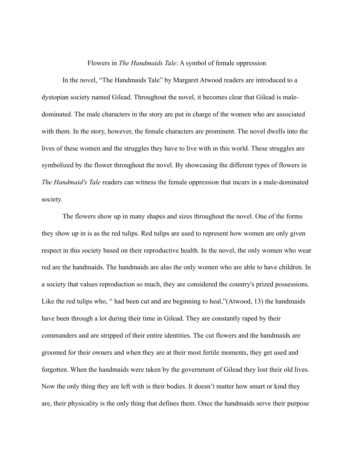## Flowers in *The Handmaids Tale*: A symbol of female oppression

 In the novel, "The Handmaids Tale" by Margaret Atwood readers are introduced to a dystopian society named Gilead. Throughout the novel, it becomes clear that Gilead is maledominated. The male characters in the story are put in charge of the women who are associated with them. In the story, however, the female characters are prominent. The novel dwells into the lives of these women and the struggles they have to live with in this world. These struggles are symbolized by the flower throughout the novel. By showcasing the different types of flowers in *The Handmaid's Tale* readers can witness the female oppression that incurs in a male-dominated society.

 The flowers show up in many shapes and sizes throughout the novel. One of the forms they show up in is as the red tulips. Red tulips are used to represent how women are only given respect in this society based on their reproductive health. In the novel, the only women who wear red are the handmaids. The handmaids are also the only women who are able to have children. In a society that values reproduction so much, they are considered the country's prized possessions. Like the red tulips who, " had been cut and are beginning to heal,"(Atwood, 13) the handmaids have been through a lot during their time in Gilead. They are constantly raped by their commanders and are stripped of their entire identities. The cut flowers and the handmaids are groomed for their owners and when they are at their most fertile moments, they get used and forgotten. When the handmaids were taken by the government of Gilead they lost their old lives. Now the only thing they are left with is their bodies. It doesn't matter how smart or kind they are, their physicality is the only thing that defines them. Once the handmaids serve their purpose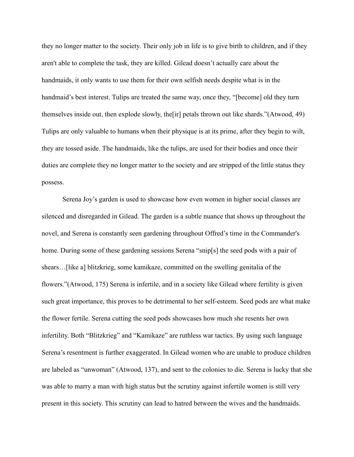they no longer matter to the society. Their only job in life is to give birth to children, and if they aren't able to complete the task, they are killed. Gilead doesn't actually care about the handmaids, it only wants to use them for their own selfish needs despite what is in the handmaid's best interest. Tulips are treated the same way, once they, "[become] old they turn themselves inside out, then explode slowly, the[ir] petals thrown out like shards."(Atwood, 49) Tulips are only valuable to humans when their physique is at its prime, after they begin to wilt, they are tossed aside. The handmaids, like the tulips, are used for their bodies and once their duties are complete they no longer matter to the society and are stripped of the little status they possess.

 Serena Joy's garden is used to showcase how even women in higher social classes are silenced and disregarded in Gilead. The garden is a subtle nuance that shows up throughout the novel, and Serena is constantly seen gardening throughout Offred's time in the Commander's home. During some of these gardening sessions Serena "snip[s] the seed pods with a pair of shears…[like a] blitzkrieg, some kamikaze, committed on the swelling genitalia of the flowers."(Atwood, 175) Serena is infertile, and in a society like Gilead where fertility is given such great importance, this proves to be detrimental to her self-esteem. Seed pods are what make the flower fertile. Serena cutting the seed pods showcases how much she resents her own infertility. Both "Blitzkrieg" and "Kamikaze" are ruthless war tactics. By using such language Serena's resentment is further exaggerated. In Gilead women who are unable to produce children are labeled as "unwoman" (Atwood, 137), and sent to the colonies to die. Serena is lucky that she was able to marry a man with high status but the scrutiny against infertile women is still very present in this society. This scrutiny can lead to hatred between the wives and the handmaids.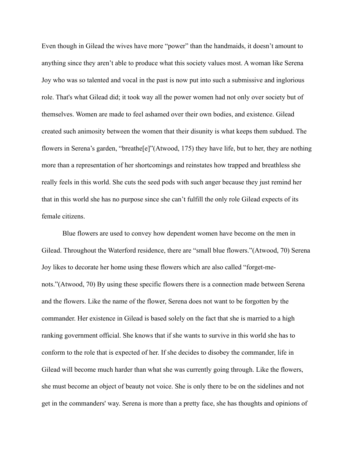Even though in Gilead the wives have more "power" than the handmaids, it doesn't amount to anything since they aren't able to produce what this society values most. A woman like Serena Joy who was so talented and vocal in the past is now put into such a submissive and inglorious role. That's what Gilead did; it took way all the power women had not only over society but of themselves. Women are made to feel ashamed over their own bodies, and existence. Gilead created such animosity between the women that their disunity is what keeps them subdued. The flowers in Serena's garden, "breathe[e]"(Atwood, 175) they have life, but to her, they are nothing more than a representation of her shortcomings and reinstates how trapped and breathless she really feels in this world. She cuts the seed pods with such anger because they just remind her that in this world she has no purpose since she can't fulfill the only role Gilead expects of its female citizens.

 Blue flowers are used to convey how dependent women have become on the men in Gilead. Throughout the Waterford residence, there are "small blue flowers."(Atwood, 70) Serena Joy likes to decorate her home using these flowers which are also called "forget-menots."(Atwood, 70) By using these specific flowers there is a connection made between Serena and the flowers. Like the name of the flower, Serena does not want to be forgotten by the commander. Her existence in Gilead is based solely on the fact that she is married to a high ranking government official. She knows that if she wants to survive in this world she has to conform to the role that is expected of her. If she decides to disobey the commander, life in Gilead will become much harder than what she was currently going through. Like the flowers, she must become an object of beauty not voice. She is only there to be on the sidelines and not get in the commanders' way. Serena is more than a pretty face, she has thoughts and opinions of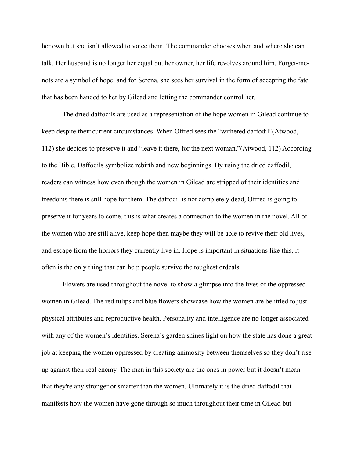her own but she isn't allowed to voice them. The commander chooses when and where she can talk. Her husband is no longer her equal but her owner, her life revolves around him. Forget-menots are a symbol of hope, and for Serena, she sees her survival in the form of accepting the fate that has been handed to her by Gilead and letting the commander control her.

 The dried daffodils are used as a representation of the hope women in Gilead continue to keep despite their current circumstances. When Offred sees the "withered daffodil"(Atwood, 112) she decides to preserve it and "leave it there, for the next woman."(Atwood, 112) According to the Bible, Daffodils symbolize rebirth and new beginnings. By using the dried daffodil, readers can witness how even though the women in Gilead are stripped of their identities and freedoms there is still hope for them. The daffodil is not completely dead, Offred is going to preserve it for years to come, this is what creates a connection to the women in the novel. All of the women who are still alive, keep hope then maybe they will be able to revive their old lives, and escape from the horrors they currently live in. Hope is important in situations like this, it often is the only thing that can help people survive the toughest ordeals.

 Flowers are used throughout the novel to show a glimpse into the lives of the oppressed women in Gilead. The red tulips and blue flowers showcase how the women are belittled to just physical attributes and reproductive health. Personality and intelligence are no longer associated with any of the women's identities. Serena's garden shines light on how the state has done a great job at keeping the women oppressed by creating animosity between themselves so they don't rise up against their real enemy. The men in this society are the ones in power but it doesn't mean that they're any stronger or smarter than the women. Ultimately it is the dried daffodil that manifests how the women have gone through so much throughout their time in Gilead but